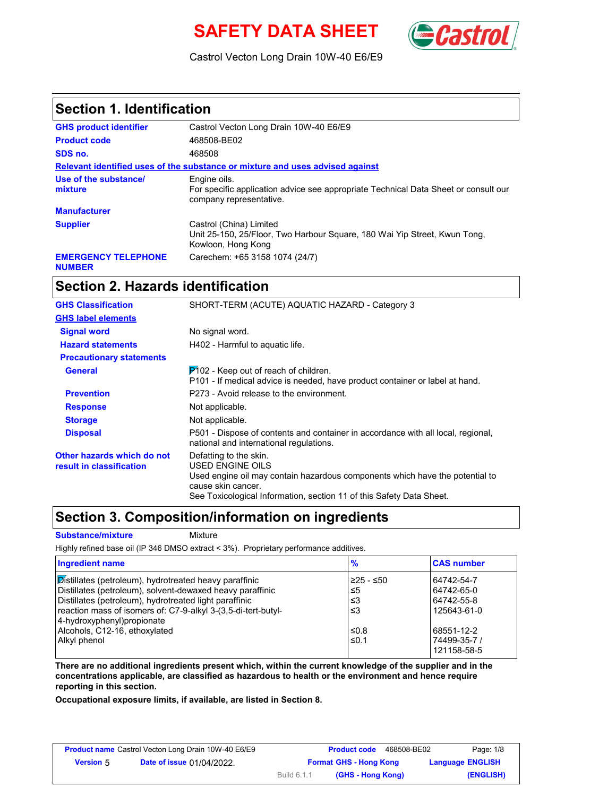# **SAFETY DATA SHEET** (**Castro**



Castrol Vecton Long Drain 10W-40 E6/E9

#### **Section 1. Identification**

| <b>GHS product identifier</b>               | Castrol Vecton Long Drain 10W-40 E6/E9                                                                                         |  |  |
|---------------------------------------------|--------------------------------------------------------------------------------------------------------------------------------|--|--|
| <b>Product code</b>                         | 468508-BE02                                                                                                                    |  |  |
| SDS no.                                     | 468508                                                                                                                         |  |  |
|                                             | Relevant identified uses of the substance or mixture and uses advised against                                                  |  |  |
| Use of the substance/<br>mixture            | Engine oils.<br>For specific application advice see appropriate Technical Data Sheet or consult our<br>company representative. |  |  |
| <b>Manufacturer</b>                         |                                                                                                                                |  |  |
| <b>Supplier</b>                             | Castrol (China) Limited<br>Unit 25-150, 25/Floor, Two Harbour Square, 180 Wai Yip Street, Kwun Tong,<br>Kowloon, Hong Kong     |  |  |
| <b>EMERGENCY TELEPHONE</b><br><b>NUMBER</b> | Carechem: +65 3158 1074 (24/7)                                                                                                 |  |  |

## **Section 2. Hazards identification**

| <b>GHS Classification</b>                              | SHORT-TERM (ACUTE) AQUATIC HAZARD - Category 3                                                                                    |
|--------------------------------------------------------|-----------------------------------------------------------------------------------------------------------------------------------|
| <b>GHS label elements</b>                              |                                                                                                                                   |
| <b>Signal word</b>                                     | No signal word.                                                                                                                   |
| <b>Hazard statements</b>                               | H402 - Harmful to aquatic life.                                                                                                   |
| <b>Precautionary statements</b>                        |                                                                                                                                   |
| <b>General</b>                                         | $P$ 102 - Keep out of reach of children.<br>P101 - If medical advice is needed, have product container or label at hand.          |
| <b>Prevention</b>                                      | P273 - Avoid release to the environment.                                                                                          |
| <b>Response</b>                                        | Not applicable.                                                                                                                   |
| <b>Storage</b>                                         | Not applicable.                                                                                                                   |
| <b>Disposal</b>                                        | P501 - Dispose of contents and container in accordance with all local, regional,<br>national and international regulations.       |
| Other hazards which do not<br>result in classification | Defatting to the skin.<br><b>USED ENGINE OILS</b><br>Used engine oil may contain hazardous components which have the potential to |
|                                                        | cause skin cancer.                                                                                                                |
|                                                        | See Toxicological Information, section 11 of this Safety Data Sheet.                                                              |

#### **Section 3. Composition/information on ingredients**

#### **Substance/mixture** Mixture

Highly refined base oil (IP 346 DMSO extract < 3%). Proprietary performance additives.

| Ingredient name                                                                                                                                                                                                                                                               | $\frac{9}{6}$               | <b>CAS number</b>                                     |
|-------------------------------------------------------------------------------------------------------------------------------------------------------------------------------------------------------------------------------------------------------------------------------|-----------------------------|-------------------------------------------------------|
| Distillates (petroleum), hydrotreated heavy paraffinic<br>Distillates (petroleum), solvent-dewaxed heavy paraffinic<br>Distillates (petroleum), hydrotreated light paraffinic<br>reaction mass of isomers of: C7-9-alkyl 3-(3,5-di-tert-butyl-<br>4-hydroxyphenyl) propionate | 225 - ≤50<br>≤5<br>≤3<br>≤3 | 64742-54-7<br>64742-65-0<br>64742-55-8<br>125643-61-0 |
| Alcohols, C12-16, ethoxylated<br>Alkyl phenol                                                                                                                                                                                                                                 | ≤0.8<br>$\leq 0.1$          | 68551-12-2<br>74499-35-7 /<br>121158-58-5             |

**There are no additional ingredients present which, within the current knowledge of the supplier and in the concentrations applicable, are classified as hazardous to health or the environment and hence require reporting in this section.**

**Occupational exposure limits, if available, are listed in Section 8.**

| <b>Product name</b> Castrol Vecton Long Drain 10W-40 E6/E9 |                                  |             | <b>Product code</b><br>468508-BE02 | Page: 1/8               |
|------------------------------------------------------------|----------------------------------|-------------|------------------------------------|-------------------------|
| <b>Version 5</b>                                           | <b>Date of issue 01/04/2022.</b> |             | <b>Format GHS - Hong Kong</b>      | <b>Language ENGLISH</b> |
|                                                            |                                  | Build 6.1.1 | (GHS - Hong Kong)                  | (ENGLISH)               |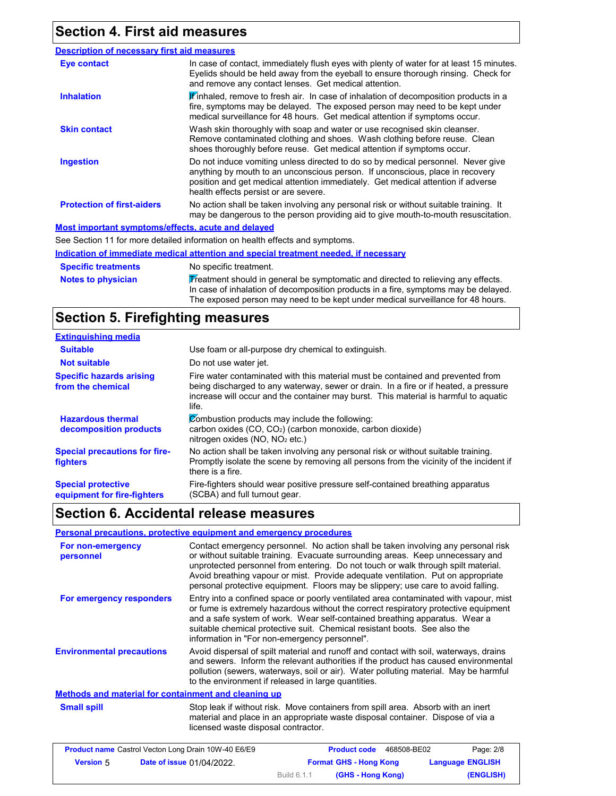## **Section 4. First aid measures**

| <b>Description of necessary first aid measures</b> |                                                                                                                                                                                                                                                                                                |
|----------------------------------------------------|------------------------------------------------------------------------------------------------------------------------------------------------------------------------------------------------------------------------------------------------------------------------------------------------|
| <b>Eye contact</b>                                 | In case of contact, immediately flush eyes with plenty of water for at least 15 minutes.<br>Eyelids should be held away from the eyeball to ensure thorough rinsing. Check for<br>and remove any contact lenses. Get medical attention.                                                        |
| <b>Inhalation</b>                                  | <b>If</b> inhaled, remove to fresh air. In case of inhalation of decomposition products in a<br>fire, symptoms may be delayed. The exposed person may need to be kept under<br>medical surveillance for 48 hours. Get medical attention if symptoms occur.                                     |
| <b>Skin contact</b>                                | Wash skin thoroughly with soap and water or use recognised skin cleanser.<br>Remove contaminated clothing and shoes. Wash clothing before reuse. Clean<br>shoes thoroughly before reuse. Get medical attention if symptoms occur.                                                              |
| <b>Ingestion</b>                                   | Do not induce vomiting unless directed to do so by medical personnel. Never give<br>anything by mouth to an unconscious person. If unconscious, place in recovery<br>position and get medical attention immediately. Get medical attention if adverse<br>health effects persist or are severe. |
| <b>Protection of first-aiders</b>                  | No action shall be taken involving any personal risk or without suitable training. It<br>may be dangerous to the person providing aid to give mouth-to-mouth resuscitation.                                                                                                                    |
| Most important symptoms/effects, acute and delayed |                                                                                                                                                                                                                                                                                                |

See Section 11 for more detailed information on health effects and symptoms.

**Notes to physician Specific treatments Indication of immediate medical attention and special treatment needed, if necessary** No specific treatment.  $\overline{\mathbf{\mathcal{V}}}$  reatment should in general be symptomatic and directed to relieving any effects. In case of inhalation of decomposition products in a fire, symptoms may be delayed.

The exposed person may need to be kept under medical surveillance for 48 hours.

# **Section 5. Firefighting measures**

| <b>Extinguishing media</b>                               |                                                                                                                                                                                                                                                                          |
|----------------------------------------------------------|--------------------------------------------------------------------------------------------------------------------------------------------------------------------------------------------------------------------------------------------------------------------------|
| <b>Suitable</b>                                          | Use foam or all-purpose dry chemical to extinguish.                                                                                                                                                                                                                      |
| <b>Not suitable</b>                                      | Do not use water jet.                                                                                                                                                                                                                                                    |
| <b>Specific hazards arising</b><br>from the chemical     | Fire water contaminated with this material must be contained and prevented from<br>being discharged to any waterway, sewer or drain. In a fire or if heated, a pressure<br>increase will occur and the container may burst. This material is harmful to aquatic<br>life. |
| <b>Hazardous thermal</b><br>decomposition products       | Combustion products may include the following:<br>carbon oxides (CO, CO <sub>2</sub> ) (carbon monoxide, carbon dioxide)<br>nitrogen oxides (NO, NO <sub>2</sub> etc.)                                                                                                   |
| <b>Special precautions for fire-</b><br><b>fighters</b>  | No action shall be taken involving any personal risk or without suitable training.<br>Promptly isolate the scene by removing all persons from the vicinity of the incident if<br>there is a fire.                                                                        |
| <b>Special protective</b><br>equipment for fire-fighters | Fire-fighters should wear positive pressure self-contained breathing apparatus<br>(SCBA) and full turnout gear.                                                                                                                                                          |

### **Section 6. Accidental release measures**

#### **Personal precautions, protective equipment and emergency procedures**

| For non-emergency<br>personnel                       | Contact emergency personnel. No action shall be taken involving any personal risk<br>or without suitable training. Evacuate surrounding areas. Keep unnecessary and<br>unprotected personnel from entering. Do not touch or walk through spilt material.<br>Avoid breathing vapour or mist. Provide adequate ventilation. Put on appropriate<br>personal protective equipment. Floors may be slippery; use care to avoid falling. |
|------------------------------------------------------|-----------------------------------------------------------------------------------------------------------------------------------------------------------------------------------------------------------------------------------------------------------------------------------------------------------------------------------------------------------------------------------------------------------------------------------|
| For emergency responders                             | Entry into a confined space or poorly ventilated area contaminated with vapour, mist<br>or fume is extremely hazardous without the correct respiratory protective equipment<br>and a safe system of work. Wear self-contained breathing apparatus. Wear a<br>suitable chemical protective suit. Chemical resistant boots. See also the<br>information in "For non-emergency personnel".                                           |
| <b>Environmental precautions</b>                     | Avoid dispersal of spilt material and runoff and contact with soil, waterways, drains<br>and sewers. Inform the relevant authorities if the product has caused environmental<br>pollution (sewers, waterways, soil or air). Water polluting material. May be harmful<br>to the environment if released in large quantities.                                                                                                       |
| Methods and material for containment and cleaning up |                                                                                                                                                                                                                                                                                                                                                                                                                                   |
| <b>Small spill</b>                                   | Stop leak if without risk. Move containers from spill area. Absorb with an inert<br>material and place in an appropriate waste disposal container. Dispose of via a<br>licensed waste disposal contractor.                                                                                                                                                                                                                        |

|                  | <b>Product name</b> Castrol Vecton Long Drain 10W-40 E6/E9 |             | <b>Product code</b><br>468508-BE02 | Page: 2/8               |
|------------------|------------------------------------------------------------|-------------|------------------------------------|-------------------------|
| <b>Version 5</b> | <b>Date of issue 01/04/2022.</b>                           |             | <b>Format GHS - Hong Kong</b>      | <b>Language ENGLISH</b> |
|                  |                                                            | Build 6.1.1 | (GHS - Hong Kong)                  | (ENGLISH)               |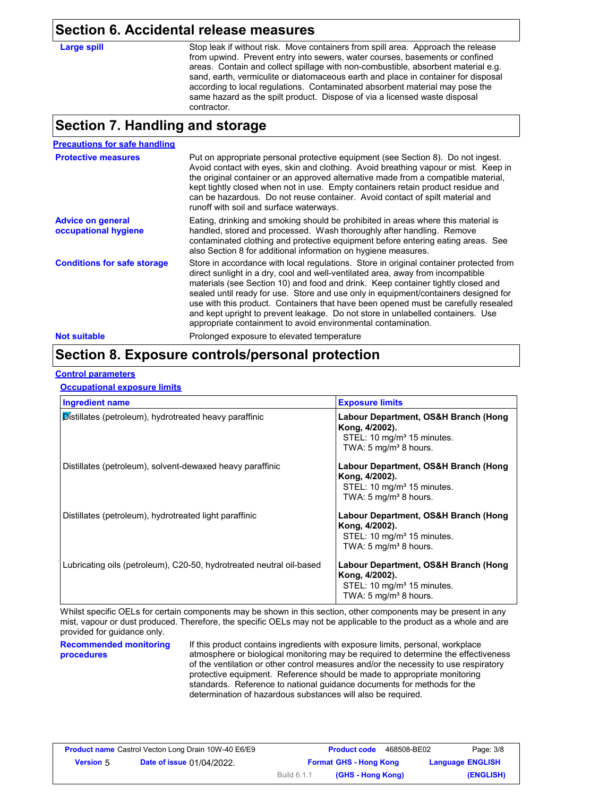#### **Section 6. Accidental release measures**

Large spill Stop leak if without risk. Move containers from spill area. Approach the release from upwind. Prevent entry into sewers, water courses, basements or confined areas. Contain and collect spillage with non-combustible, absorbent material e.g. sand, earth, vermiculite or diatomaceous earth and place in container for disposal according to local regulations. Contaminated absorbent material may pose the same hazard as the spilt product. Dispose of via a licensed waste disposal contractor.

#### **Section 7. Handling and storage**

| <b>Precautions for safe handling</b>             |                                                                                                                                                                                                                                                                                                                                                                                                                                                                                                                                                                                                |
|--------------------------------------------------|------------------------------------------------------------------------------------------------------------------------------------------------------------------------------------------------------------------------------------------------------------------------------------------------------------------------------------------------------------------------------------------------------------------------------------------------------------------------------------------------------------------------------------------------------------------------------------------------|
| <b>Protective measures</b>                       | Put on appropriate personal protective equipment (see Section 8). Do not ingest.<br>Avoid contact with eyes, skin and clothing. Avoid breathing vapour or mist. Keep in<br>the original container or an approved alternative made from a compatible material,<br>kept tightly closed when not in use. Empty containers retain product residue and<br>can be hazardous. Do not reuse container. Avoid contact of spilt material and<br>runoff with soil and surface waterways.                                                                                                                  |
| <b>Advice on general</b><br>occupational hygiene | Eating, drinking and smoking should be prohibited in areas where this material is<br>handled, stored and processed. Wash thoroughly after handling. Remove<br>contaminated clothing and protective equipment before entering eating areas. See<br>also Section 8 for additional information on hygiene measures.                                                                                                                                                                                                                                                                               |
| <b>Conditions for safe storage</b>               | Store in accordance with local regulations. Store in original container protected from<br>direct sunlight in a dry, cool and well-ventilated area, away from incompatible<br>materials (see Section 10) and food and drink. Keep container tightly closed and<br>sealed until ready for use. Store and use only in equipment/containers designed for<br>use with this product. Containers that have been opened must be carefully resealed<br>and kept upright to prevent leakage. Do not store in unlabelled containers. Use<br>appropriate containment to avoid environmental contamination. |
| <b>Not suitable</b>                              | Prolonged exposure to elevated temperature                                                                                                                                                                                                                                                                                                                                                                                                                                                                                                                                                     |

### **Section 8. Exposure controls/personal protection**

#### **Control parameters**

**Occupational exposure limits**

| <b>Ingredient name</b>                                               | <b>Exposure limits</b>                                                                                                                |
|----------------------------------------------------------------------|---------------------------------------------------------------------------------------------------------------------------------------|
| Distillates (petroleum), hydrotreated heavy paraffinic               | Labour Department, OS&H Branch (Hong<br>Kong, 4/2002).<br>STEL: 10 mg/m <sup>3</sup> 15 minutes.<br>TWA: 5 mg/m <sup>3</sup> 8 hours. |
| Distillates (petroleum), solvent-dewaxed heavy paraffinic            | Labour Department, OS&H Branch (Hong<br>Kong, 4/2002).<br>STEL: 10 mg/m <sup>3</sup> 15 minutes.<br>TWA: 5 mg/m <sup>3</sup> 8 hours. |
| Distillates (petroleum), hydrotreated light paraffinic               | Labour Department, OS&H Branch (Hong<br>Kong, 4/2002).<br>STEL: 10 mg/m <sup>3</sup> 15 minutes.<br>TWA: $5 \text{ mg/m}^3$ 8 hours.  |
| Lubricating oils (petroleum), C20-50, hydrotreated neutral oil-based | Labour Department, OS&H Branch (Hong<br>Kong, 4/2002).<br>STEL: 10 mg/m <sup>3</sup> 15 minutes.<br>TWA: 5 mg/m <sup>3</sup> 8 hours. |

Whilst specific OELs for certain components may be shown in this section, other components may be present in any mist, vapour or dust produced. Therefore, the specific OELs may not be applicable to the product as a whole and are provided for guidance only.

#### **Recommended monitoring procedures**

If this product contains ingredients with exposure limits, personal, workplace atmosphere or biological monitoring may be required to determine the effectiveness of the ventilation or other control measures and/or the necessity to use respiratory protective equipment. Reference should be made to appropriate monitoring standards. Reference to national guidance documents for methods for the determination of hazardous substances will also be required.

|                  | <b>Product name</b> Castrol Vecton Long Drain 10W-40 E6/E9 |             | <b>Product code</b><br>468508-BE02 | Page: 3/8               |
|------------------|------------------------------------------------------------|-------------|------------------------------------|-------------------------|
| <b>Version</b> 5 | <b>Date of issue 01/04/2022.</b>                           |             | <b>Format GHS - Hong Kong</b>      | <b>Language ENGLISH</b> |
|                  |                                                            | Build 6.1.1 | (GHS - Hong Kong)                  | (ENGLISH)               |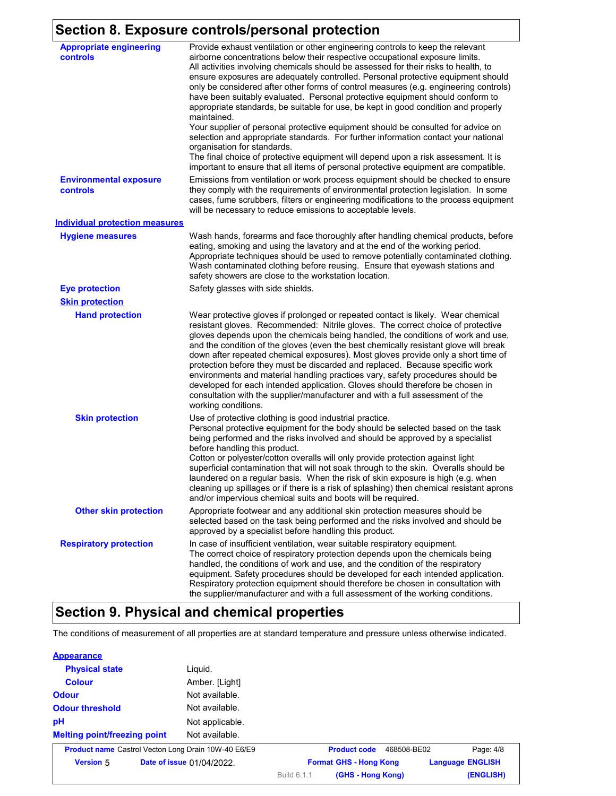### **Section 8. Exposure controls/personal protection**

| <b>Appropriate engineering</b><br>controls | Provide exhaust ventilation or other engineering controls to keep the relevant<br>airborne concentrations below their respective occupational exposure limits.<br>All activities involving chemicals should be assessed for their risks to health, to<br>ensure exposures are adequately controlled. Personal protective equipment should<br>only be considered after other forms of control measures (e.g. engineering controls)<br>have been suitably evaluated. Personal protective equipment should conform to<br>appropriate standards, be suitable for use, be kept in good condition and properly<br>maintained.<br>Your supplier of personal protective equipment should be consulted for advice on<br>selection and appropriate standards. For further information contact your national<br>organisation for standards.<br>The final choice of protective equipment will depend upon a risk assessment. It is<br>important to ensure that all items of personal protective equipment are compatible. |
|--------------------------------------------|---------------------------------------------------------------------------------------------------------------------------------------------------------------------------------------------------------------------------------------------------------------------------------------------------------------------------------------------------------------------------------------------------------------------------------------------------------------------------------------------------------------------------------------------------------------------------------------------------------------------------------------------------------------------------------------------------------------------------------------------------------------------------------------------------------------------------------------------------------------------------------------------------------------------------------------------------------------------------------------------------------------|
| <b>Environmental exposure</b><br>controls  | Emissions from ventilation or work process equipment should be checked to ensure<br>they comply with the requirements of environmental protection legislation. In some<br>cases, fume scrubbers, filters or engineering modifications to the process equipment<br>will be necessary to reduce emissions to acceptable levels.                                                                                                                                                                                                                                                                                                                                                                                                                                                                                                                                                                                                                                                                                 |
| <b>Individual protection measures</b>      |                                                                                                                                                                                                                                                                                                                                                                                                                                                                                                                                                                                                                                                                                                                                                                                                                                                                                                                                                                                                               |
| <b>Hygiene measures</b>                    | Wash hands, forearms and face thoroughly after handling chemical products, before<br>eating, smoking and using the lavatory and at the end of the working period.<br>Appropriate techniques should be used to remove potentially contaminated clothing.<br>Wash contaminated clothing before reusing. Ensure that eyewash stations and<br>safety showers are close to the workstation location.                                                                                                                                                                                                                                                                                                                                                                                                                                                                                                                                                                                                               |
| <b>Eye protection</b>                      | Safety glasses with side shields.                                                                                                                                                                                                                                                                                                                                                                                                                                                                                                                                                                                                                                                                                                                                                                                                                                                                                                                                                                             |
| <b>Skin protection</b>                     |                                                                                                                                                                                                                                                                                                                                                                                                                                                                                                                                                                                                                                                                                                                                                                                                                                                                                                                                                                                                               |
| <b>Hand protection</b>                     | Wear protective gloves if prolonged or repeated contact is likely. Wear chemical<br>resistant gloves. Recommended: Nitrile gloves. The correct choice of protective<br>gloves depends upon the chemicals being handled, the conditions of work and use,<br>and the condition of the gloves (even the best chemically resistant glove will break<br>down after repeated chemical exposures). Most gloves provide only a short time of<br>protection before they must be discarded and replaced. Because specific work<br>environments and material handling practices vary, safety procedures should be<br>developed for each intended application. Gloves should therefore be chosen in<br>consultation with the supplier/manufacturer and with a full assessment of the<br>working conditions.                                                                                                                                                                                                               |
| <b>Skin protection</b>                     | Use of protective clothing is good industrial practice.<br>Personal protective equipment for the body should be selected based on the task<br>being performed and the risks involved and should be approved by a specialist<br>before handling this product.<br>Cotton or polyester/cotton overalls will only provide protection against light<br>superficial contamination that will not soak through to the skin. Overalls should be<br>laundered on a regular basis. When the risk of skin exposure is high (e.g. when<br>cleaning up spillages or if there is a risk of splashing) then chemical resistant aprons<br>and/or impervious chemical suits and boots will be required.                                                                                                                                                                                                                                                                                                                         |
| <b>Other skin protection</b>               | Appropriate footwear and any additional skin protection measures should be<br>selected based on the task being performed and the risks involved and should be<br>approved by a specialist before handling this product.                                                                                                                                                                                                                                                                                                                                                                                                                                                                                                                                                                                                                                                                                                                                                                                       |
| <b>Respiratory protection</b>              | In case of insufficient ventilation, wear suitable respiratory equipment.<br>The correct choice of respiratory protection depends upon the chemicals being<br>handled, the conditions of work and use, and the condition of the respiratory<br>equipment. Safety procedures should be developed for each intended application.<br>Respiratory protection equipment should therefore be chosen in consultation with<br>the supplier/manufacturer and with a full assessment of the working conditions.                                                                                                                                                                                                                                                                                                                                                                                                                                                                                                         |

# **Section 9. Physical and chemical properties**

The conditions of measurement of all properties are at standard temperature and pressure unless otherwise indicated.

| <b>Appearance</b>                   |                                                            |             |                               |             |                         |
|-------------------------------------|------------------------------------------------------------|-------------|-------------------------------|-------------|-------------------------|
| <b>Physical state</b>               | Liquid.                                                    |             |                               |             |                         |
| <b>Colour</b>                       | Amber. [Light]                                             |             |                               |             |                         |
| <b>Odour</b>                        | Not available.                                             |             |                               |             |                         |
| <b>Odour threshold</b>              | Not available.                                             |             |                               |             |                         |
| pH                                  | Not applicable.                                            |             |                               |             |                         |
| <b>Melting point/freezing point</b> | Not available.                                             |             |                               |             |                         |
|                                     | <b>Product name</b> Castrol Vecton Long Drain 10W-40 E6/E9 |             | <b>Product code</b>           | 468508-BE02 | Page: 4/8               |
| <b>Version 5</b>                    | Date of issue 01/04/2022.                                  |             | <b>Format GHS - Hong Kong</b> |             | <b>Language ENGLISH</b> |
|                                     |                                                            | Build 6.1.1 | (GHS - Hong Kong)             |             | (ENGLISH)               |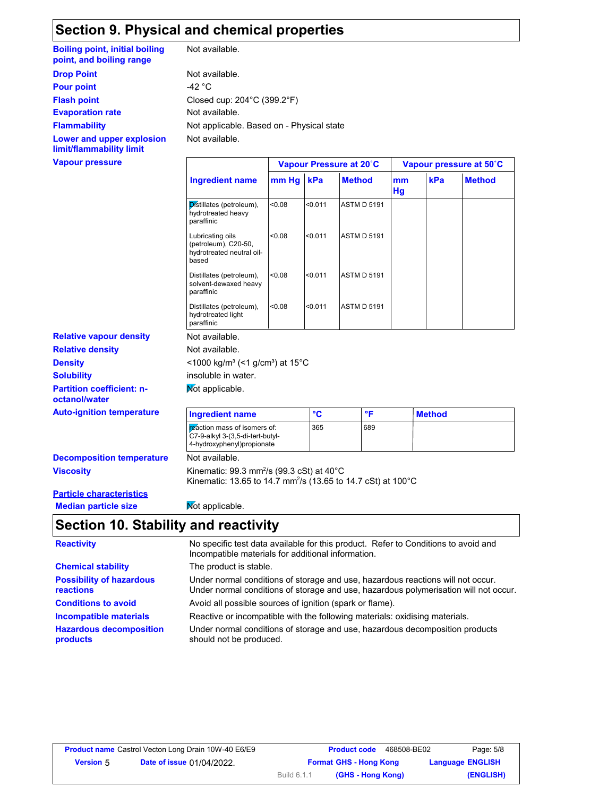## **Section 9. Physical and chemical properties**

**Boiling point, initial boiling point, and boiling range**

**Flammability**

**Lower and upper explosion limit/flammability limit**

**Vapour pressure**

Not available.

**Evaporation rate Not available.** Not available. **Drop Point** Not available. Not applicable. Based on - Physical state **Pour point**  $-42 \degree C$ **Flash point** Closed cup: 204°C (399.2°F)

|                                                                                |       |         | Vapour Pressure at 20°C |          | Vapour pressure at 50°C |               |  |
|--------------------------------------------------------------------------------|-------|---------|-------------------------|----------|-------------------------|---------------|--|
| <b>Ingredient name</b>                                                         | mm Hg | kPa     | <b>Method</b>           | mm<br>Hg | kPa                     | <b>Method</b> |  |
| Distillates (petroleum),<br>hydrotreated heavy<br>paraffinic                   | 0.08  | < 0.011 | <b>ASTM D 5191</b>      |          |                         |               |  |
| Lubricating oils<br>(petroleum), C20-50,<br>hydrotreated neutral oil-<br>based | 0.08  | < 0.011 | <b>ASTM D 5191</b>      |          |                         |               |  |
| Distillates (petroleum),<br>solvent-dewaxed heavy<br>paraffinic                | <0.08 | < 0.011 | <b>ASTM D 5191</b>      |          |                         |               |  |
| Distillates (petroleum),<br>hydrotreated light<br>paraffinic                   | <0.08 | < 0.011 | <b>ASTM D 5191</b>      |          |                         |               |  |
| Not available.<br>Not available.                                               |       |         |                         |          |                         |               |  |
| <1000 kg/m <sup>3</sup> (<1 g/cm <sup>3</sup> ) at 15 <sup>°</sup> C           |       |         |                         |          |                         |               |  |
| insoluble in water.                                                            |       |         |                         |          |                         |               |  |
| Not applicable.                                                                |       |         |                         |          |                         |               |  |
| <b>Ingredient name</b>                                                         |       | °C      | °F                      |          | <b>Method</b>           |               |  |
| reaction mass of isomers of:                                                   |       | 365     | 689                     |          |                         |               |  |

| <b>Decomposition temperature</b> |  |
|----------------------------------|--|
| <b>Viscosity</b>                 |  |

**Not available.** 4-hydroxyphenyl)propionate

C7-9-alkyl 3-(3,5-di-tert-butyl-

**Viscosity Kinematic: 99.3 mm<sup>2</sup>/s (99.3 cSt) at 40°C** Kinematic: 13.65 to 14.7 mm²/s (13.65 to 14.7 cSt) at 100°C

#### **Particle characteristics Median particle size** Not applicable.

**Partition coefficient: n-**

**Auto-ignition temperature** 

**Relative vapour density**

**Solubility**

**Density** 

**octanol/water**

**Relative density**

## **Section 10. Stability and reactivity**

| <b>Reactivity</b>                            | No specific test data available for this product. Refer to Conditions to avoid and<br>Incompatible materials for additional information.                                |
|----------------------------------------------|-------------------------------------------------------------------------------------------------------------------------------------------------------------------------|
| <b>Chemical stability</b>                    | The product is stable.                                                                                                                                                  |
| <b>Possibility of hazardous</b><br>reactions | Under normal conditions of storage and use, hazardous reactions will not occur.<br>Under normal conditions of storage and use, hazardous polymerisation will not occur. |
| <b>Conditions to avoid</b>                   | Avoid all possible sources of ignition (spark or flame).                                                                                                                |
| <b>Incompatible materials</b>                | Reactive or incompatible with the following materials: oxidising materials.                                                                                             |
| <b>Hazardous decomposition</b><br>products   | Under normal conditions of storage and use, hazardous decomposition products<br>should not be produced.                                                                 |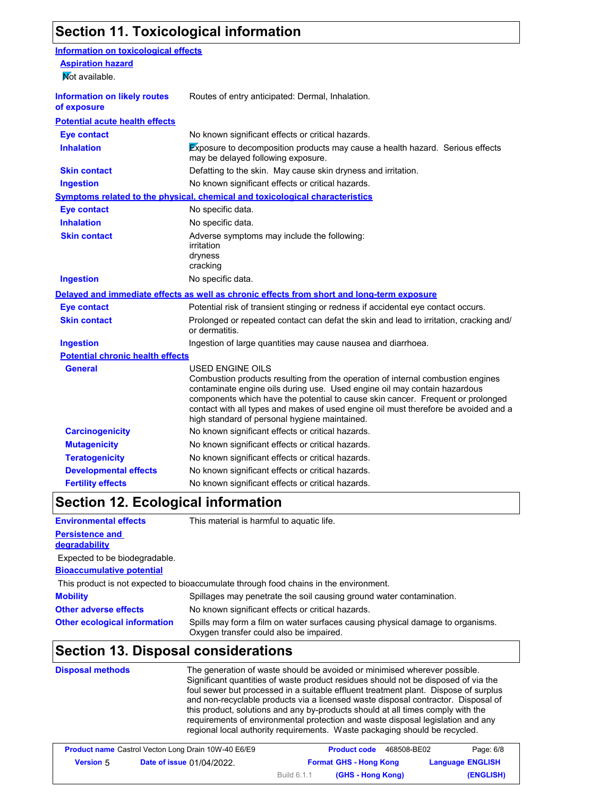## **Section 11. Toxicological information**

| <b>Information on toxicological effects</b>        |                                                                                                                                                                                                                                                                                                                                                                                                                    |
|----------------------------------------------------|--------------------------------------------------------------------------------------------------------------------------------------------------------------------------------------------------------------------------------------------------------------------------------------------------------------------------------------------------------------------------------------------------------------------|
| <b>Aspiration hazard</b>                           |                                                                                                                                                                                                                                                                                                                                                                                                                    |
| Mot available.                                     |                                                                                                                                                                                                                                                                                                                                                                                                                    |
| <b>Information on likely routes</b><br>of exposure | Routes of entry anticipated: Dermal, Inhalation.                                                                                                                                                                                                                                                                                                                                                                   |
| <b>Potential acute health effects</b>              |                                                                                                                                                                                                                                                                                                                                                                                                                    |
| <b>Eye contact</b>                                 | No known significant effects or critical hazards.                                                                                                                                                                                                                                                                                                                                                                  |
| <b>Inhalation</b>                                  | Exposure to decomposition products may cause a health hazard. Serious effects<br>may be delayed following exposure.                                                                                                                                                                                                                                                                                                |
| <b>Skin contact</b>                                | Defatting to the skin. May cause skin dryness and irritation.                                                                                                                                                                                                                                                                                                                                                      |
| <b>Ingestion</b>                                   | No known significant effects or critical hazards.                                                                                                                                                                                                                                                                                                                                                                  |
|                                                    | Symptoms related to the physical, chemical and toxicological characteristics                                                                                                                                                                                                                                                                                                                                       |
| <b>Eye contact</b>                                 | No specific data.                                                                                                                                                                                                                                                                                                                                                                                                  |
| <b>Inhalation</b>                                  | No specific data.                                                                                                                                                                                                                                                                                                                                                                                                  |
| <b>Skin contact</b>                                | Adverse symptoms may include the following:<br>irritation<br>dryness<br>cracking                                                                                                                                                                                                                                                                                                                                   |
| <b>Ingestion</b>                                   | No specific data.                                                                                                                                                                                                                                                                                                                                                                                                  |
|                                                    | Delayed and immediate effects as well as chronic effects from short and long-term exposure                                                                                                                                                                                                                                                                                                                         |
| <b>Eye contact</b>                                 | Potential risk of transient stinging or redness if accidental eye contact occurs.                                                                                                                                                                                                                                                                                                                                  |
| <b>Skin contact</b>                                | Prolonged or repeated contact can defat the skin and lead to irritation, cracking and/<br>or dermatitis.                                                                                                                                                                                                                                                                                                           |
| <b>Ingestion</b>                                   | Ingestion of large quantities may cause nausea and diarrhoea.                                                                                                                                                                                                                                                                                                                                                      |
| <b>Potential chronic health effects</b>            |                                                                                                                                                                                                                                                                                                                                                                                                                    |
| <b>General</b>                                     | <b>USED ENGINE OILS</b><br>Combustion products resulting from the operation of internal combustion engines<br>contaminate engine oils during use. Used engine oil may contain hazardous<br>components which have the potential to cause skin cancer. Frequent or prolonged<br>contact with all types and makes of used engine oil must therefore be avoided and a<br>high standard of personal hygiene maintained. |
| <b>Carcinogenicity</b>                             | No known significant effects or critical hazards.                                                                                                                                                                                                                                                                                                                                                                  |
| <b>Mutagenicity</b>                                | No known significant effects or critical hazards.                                                                                                                                                                                                                                                                                                                                                                  |
| <b>Teratogenicity</b>                              | No known significant effects or critical hazards.                                                                                                                                                                                                                                                                                                                                                                  |
| <b>Developmental effects</b>                       | No known significant effects or critical hazards.                                                                                                                                                                                                                                                                                                                                                                  |
| <b>Fertility effects</b>                           | No known significant effects or critical hazards.                                                                                                                                                                                                                                                                                                                                                                  |
|                                                    |                                                                                                                                                                                                                                                                                                                                                                                                                    |

#### **Section 12. Ecological information**

**Bioaccumulative potential Persistence and degradability Environmental effects** This material is harmful to aquatic life. Expected to be biodegradable.

This product is not expected to bioaccumulate through food chains in the environment.

| <b>Mobility</b>                     | Spillages may penetrate the soil causing ground water contamination.                                                      |
|-------------------------------------|---------------------------------------------------------------------------------------------------------------------------|
| <b>Other adverse effects</b>        | No known significant effects or critical hazards.                                                                         |
| <b>Other ecological information</b> | Spills may form a film on water surfaces causing physical damage to organisms.<br>Oxygen transfer could also be impaired. |

### **Section 13. Disposal considerations**

**Disposal methods** The generation of waste should be avoided or minimised wherever possible. Significant quantities of waste product residues should not be disposed of via the foul sewer but processed in a suitable effluent treatment plant. Dispose of surplus and non-recyclable products via a licensed waste disposal contractor. Disposal of this product, solutions and any by-products should at all times comply with the requirements of environmental protection and waste disposal legislation and any regional local authority requirements. Waste packaging should be recycled.

| <b>Product name</b> Castrol Vecton Long Drain 10W-40 E6/E9 |  |             | <b>Product code</b><br>468508-BE02 | Page: 6/8               |
|------------------------------------------------------------|--|-------------|------------------------------------|-------------------------|
| <b>Date of issue 01/04/2022.</b><br><b>Version</b> 5       |  |             | <b>Format GHS - Hong Kong</b>      | <b>Language ENGLISH</b> |
|                                                            |  | Build 6.1.1 | (GHS - Hong Kong)                  | (ENGLISH)               |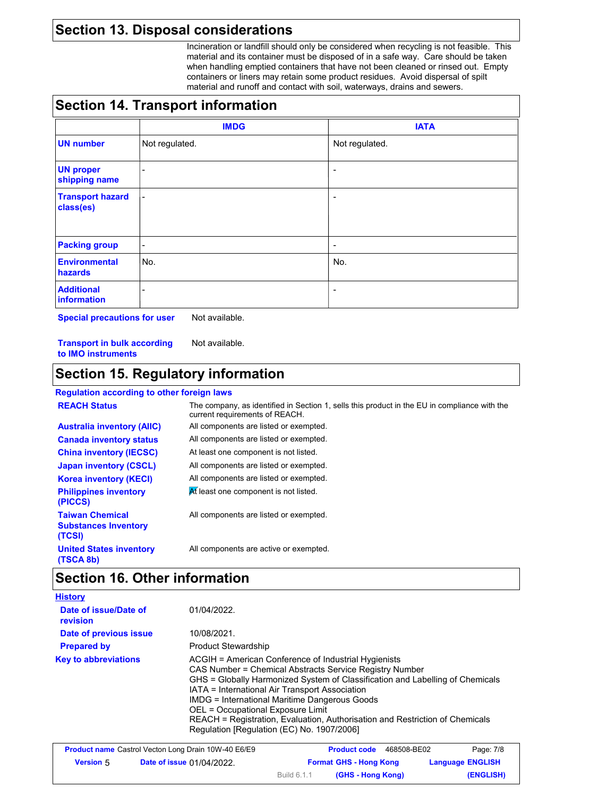## **Section 13. Disposal considerations**

Incineration or landfill should only be considered when recycling is not feasible. This material and its container must be disposed of in a safe way. Care should be taken when handling emptied containers that have not been cleaned or rinsed out. Empty containers or liners may retain some product residues. Avoid dispersal of spilt material and runoff and contact with soil, waterways, drains and sewers.

## **Section 14. Transport information**

|                                      | <b>IMDG</b>              | <b>IATA</b>    |
|--------------------------------------|--------------------------|----------------|
| <b>UN number</b>                     | Not regulated.           | Not regulated. |
| <b>UN proper</b><br>shipping name    | ٠                        |                |
| <b>Transport hazard</b><br>class(es) | $\overline{\phantom{a}}$ | -              |
| <b>Packing group</b>                 | $\blacksquare$           | -              |
| <b>Environmental</b><br>hazards      | No.                      | No.            |
| <b>Additional</b><br>information     | ۰                        |                |

**Special precautions for user** Not available.

**Transport in bulk according to IMO instruments** Not available.

#### **Section 15. Regulatory information**

#### **Regulation according to other foreign laws**

| <b>REACH Status</b>                                             | The company, as identified in Section 1, sells this product in the EU in compliance with the<br>current requirements of REACH. |
|-----------------------------------------------------------------|--------------------------------------------------------------------------------------------------------------------------------|
| <b>Australia inventory (AIIC)</b>                               | All components are listed or exempted.                                                                                         |
| <b>Canada inventory status</b>                                  | All components are listed or exempted.                                                                                         |
| <b>China inventory (IECSC)</b>                                  | At least one component is not listed.                                                                                          |
| <b>Japan inventory (CSCL)</b>                                   | All components are listed or exempted.                                                                                         |
| <b>Korea inventory (KECI)</b>                                   | All components are listed or exempted.                                                                                         |
| <b>Philippines inventory</b><br>(PICCS)                         | At least one component is not listed.                                                                                          |
| <b>Taiwan Chemical</b><br><b>Substances Inventory</b><br>(TCSI) | All components are listed or exempted.                                                                                         |
| <b>United States inventory</b><br>(TSCA 8b)                     | All components are active or exempted.                                                                                         |

# **Section 16. Other information**

| <b>History</b>                    |                                                                                                                                                                                                                                                                                                                                                                                                                                                                        |
|-----------------------------------|------------------------------------------------------------------------------------------------------------------------------------------------------------------------------------------------------------------------------------------------------------------------------------------------------------------------------------------------------------------------------------------------------------------------------------------------------------------------|
| Date of issue/Date of<br>revision | 01/04/2022                                                                                                                                                                                                                                                                                                                                                                                                                                                             |
| Date of previous issue            | 10/08/2021.                                                                                                                                                                                                                                                                                                                                                                                                                                                            |
| <b>Prepared by</b>                | <b>Product Stewardship</b>                                                                                                                                                                                                                                                                                                                                                                                                                                             |
| <b>Key to abbreviations</b>       | ACGIH = American Conference of Industrial Hygienists<br>CAS Number = Chemical Abstracts Service Registry Number<br>GHS = Globally Harmonized System of Classification and Labelling of Chemicals<br>IATA = International Air Transport Association<br>IMDG = International Maritime Dangerous Goods<br>OEL = Occupational Exposure Limit<br>REACH = Registration, Evaluation, Authorisation and Restriction of Chemicals<br>Regulation [Regulation (EC) No. 1907/2006] |

| <b>Product name</b> Castrol Vecton Long Drain 10W-40 E6/E9 |                                  |             | <b>Product code</b><br>468508-BE02 | Page: 7/8               |
|------------------------------------------------------------|----------------------------------|-------------|------------------------------------|-------------------------|
| <b>Version 5</b>                                           | <b>Date of issue 01/04/2022.</b> |             | <b>Format GHS - Hong Kong</b>      | <b>Language ENGLISH</b> |
|                                                            |                                  | Build 6.1.1 | (GHS - Hong Kong)                  | (ENGLISH)               |